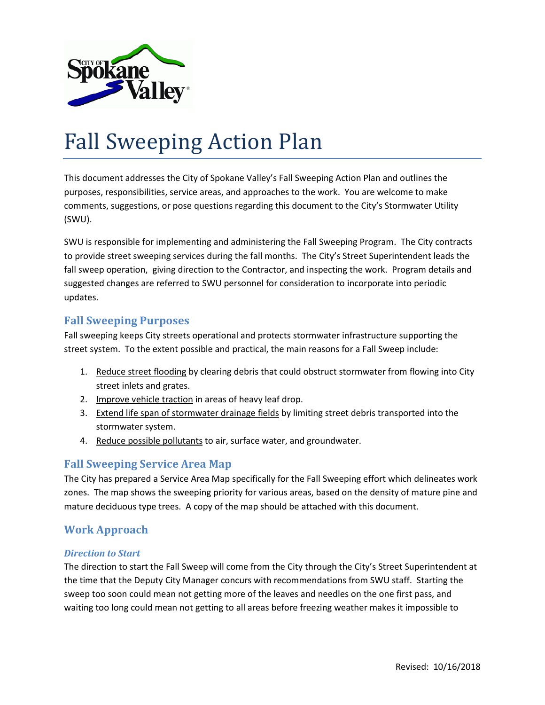

# Fall Sweeping Action Plan

This document addresses the City of Spokane Valley's Fall Sweeping Action Plan and outlines the purposes, responsibilities, service areas, and approaches to the work. You are welcome to make comments, suggestions, or pose questions regarding this document to the City's Stormwater Utility (SWU).

SWU is responsible for implementing and administering the Fall Sweeping Program. The City contracts to provide street sweeping services during the fall months. The City's Street Superintendent leads the fall sweep operation, giving direction to the Contractor, and inspecting the work. Program details and suggested changes are referred to SWU personnel for consideration to incorporate into periodic updates.

## **Fall Sweeping Purposes**

Fall sweeping keeps City streets operational and protects stormwater infrastructure supporting the street system. To the extent possible and practical, the main reasons for a Fall Sweep include:

- 1. Reduce street flooding by clearing debris that could obstruct stormwater from flowing into City street inlets and grates.
- 2. Improve vehicle traction in areas of heavy leaf drop.
- 3. Extend life span of stormwater drainage fields by limiting street debris transported into the stormwater system.
- 4. Reduce possible pollutants to air, surface water, and groundwater.

# **Fall Sweeping Service Area Map**

The City has prepared a Service Area Map specifically for the Fall Sweeping effort which delineates work zones. The map shows the sweeping priority for various areas, based on the density of mature pine and mature deciduous type trees. A copy of the map should be attached with this document.

# **Work Approach**

#### *Direction to Start*

The direction to start the Fall Sweep will come from the City through the City's Street Superintendent at the time that the Deputy City Manager concurs with recommendations from SWU staff. Starting the sweep too soon could mean not getting more of the leaves and needles on the one first pass, and waiting too long could mean not getting to all areas before freezing weather makes it impossible to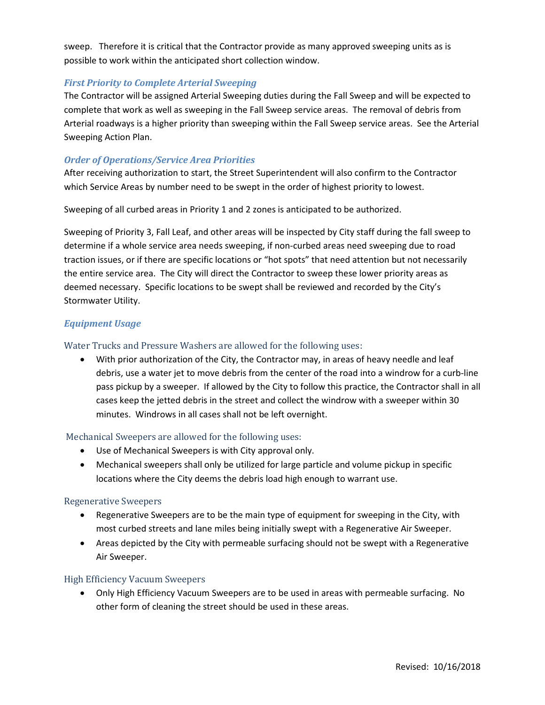sweep. Therefore it is critical that the Contractor provide as many approved sweeping units as is possible to work within the anticipated short collection window.

### *First Priority to Complete Arterial Sweeping*

The Contractor will be assigned Arterial Sweeping duties during the Fall Sweep and will be expected to complete that work as well as sweeping in the Fall Sweep service areas. The removal of debris from Arterial roadways is a higher priority than sweeping within the Fall Sweep service areas. See the Arterial Sweeping Action Plan.

#### *Order of Operations/Service Area Priorities*

After receiving authorization to start, the Street Superintendent will also confirm to the Contractor which Service Areas by number need to be swept in the order of highest priority to lowest.

Sweeping of all curbed areas in Priority 1 and 2 zones is anticipated to be authorized.

Sweeping of Priority 3, Fall Leaf, and other areas will be inspected by City staff during the fall sweep to determine if a whole service area needs sweeping, if non-curbed areas need sweeping due to road traction issues, or if there are specific locations or "hot spots" that need attention but not necessarily the entire service area. The City will direct the Contractor to sweep these lower priority areas as deemed necessary. Specific locations to be swept shall be reviewed and recorded by the City's Stormwater Utility.

## *Equipment Usage*

#### Water Trucks and Pressure Washers are allowed for the following uses:

• With prior authorization of the City, the Contractor may, in areas of heavy needle and leaf debris, use a water jet to move debris from the center of the road into a windrow for a curb-line pass pickup by a sweeper. If allowed by the City to follow this practice, the Contractor shall in all cases keep the jetted debris in the street and collect the windrow with a sweeper within 30 minutes. Windrows in all cases shall not be left overnight.

#### Mechanical Sweepers are allowed for the following uses:

- Use of Mechanical Sweepers is with City approval only.
- Mechanical sweepers shall only be utilized for large particle and volume pickup in specific locations where the City deems the debris load high enough to warrant use.

#### Regenerative Sweepers

- Regenerative Sweepers are to be the main type of equipment for sweeping in the City, with most curbed streets and lane miles being initially swept with a Regenerative Air Sweeper.
- Areas depicted by the City with permeable surfacing should not be swept with a Regenerative Air Sweeper.

#### High Efficiency Vacuum Sweepers

• Only High Efficiency Vacuum Sweepers are to be used in areas with permeable surfacing. No other form of cleaning the street should be used in these areas.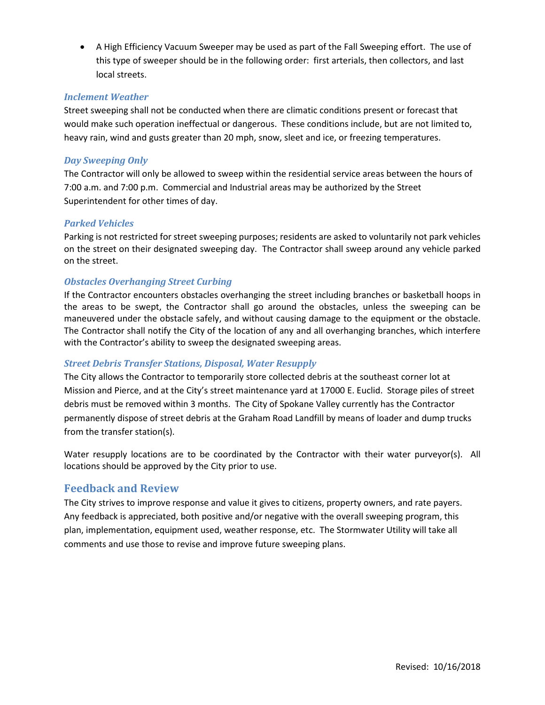• A High Efficiency Vacuum Sweeper may be used as part of the Fall Sweeping effort. The use of this type of sweeper should be in the following order: first arterials, then collectors, and last local streets.

#### *Inclement Weather*

Street sweeping shall not be conducted when there are climatic conditions present or forecast that would make such operation ineffectual or dangerous. These conditions include, but are not limited to, heavy rain, wind and gusts greater than 20 mph, snow, sleet and ice, or freezing temperatures.

#### *Day Sweeping Only*

The Contractor will only be allowed to sweep within the residential service areas between the hours of 7:00 a.m. and 7:00 p.m. Commercial and Industrial areas may be authorized by the Street Superintendent for other times of day.

#### *Parked Vehicles*

Parking is not restricted for street sweeping purposes; residents are asked to voluntarily not park vehicles on the street on their designated sweeping day. The Contractor shall sweep around any vehicle parked on the street.

#### *Obstacles Overhanging Street Curbing*

If the Contractor encounters obstacles overhanging the street including branches or basketball hoops in the areas to be swept, the Contractor shall go around the obstacles, unless the sweeping can be maneuvered under the obstacle safely, and without causing damage to the equipment or the obstacle. The Contractor shall notify the City of the location of any and all overhanging branches, which interfere with the Contractor's ability to sweep the designated sweeping areas.

#### *Street Debris Transfer Stations, Disposal, Water Resupply*

The City allows the Contractor to temporarily store collected debris at the southeast corner lot at Mission and Pierce, and at the City's street maintenance yard at 17000 E. Euclid. Storage piles of street debris must be removed within 3 months. The City of Spokane Valley currently has the Contractor permanently dispose of street debris at the Graham Road Landfill by means of loader and dump trucks from the transfer station(s).

Water resupply locations are to be coordinated by the Contractor with their water purveyor(s). All locations should be approved by the City prior to use.

## **Feedback and Review**

The City strives to improve response and value it gives to citizens, property owners, and rate payers. Any feedback is appreciated, both positive and/or negative with the overall sweeping program, this plan, implementation, equipment used, weather response, etc. The Stormwater Utility will take all comments and use those to revise and improve future sweeping plans.